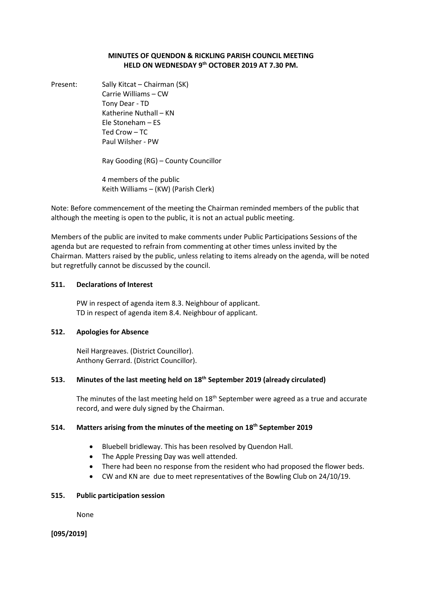## **MINUTES OF QUENDON & RICKLING PARISH COUNCIL MEETING HELD ON WEDNESDAY 9 th OCTOBER 2019 AT 7.30 PM.**

Present: Sally Kitcat – Chairman (SK) Carrie Williams – CW Tony Dear - TD Katherine Nuthall – KN Ele Stoneham – ES Ted Crow – TC Paul Wilsher - PW

Ray Gooding (RG) – County Councillor

4 members of the public Keith Williams – (KW) (Parish Clerk)

Note: Before commencement of the meeting the Chairman reminded members of the public that although the meeting is open to the public, it is not an actual public meeting.

Members of the public are invited to make comments under Public Participations Sessions of the agenda but are requested to refrain from commenting at other times unless invited by the Chairman. Matters raised by the public, unless relating to items already on the agenda, will be noted but regretfully cannot be discussed by the council.

#### **511. Declarations of Interest**

PW in respect of agenda item 8.3. Neighbour of applicant. TD in respect of agenda item 8.4. Neighbour of applicant.

## **512. Apologies for Absence**

Neil Hargreaves. (District Councillor). Anthony Gerrard. (District Councillor).

## **513. Minutes of the last meeting held on 18th September 2019 (already circulated)**

The minutes of the last meeting held on  $18<sup>th</sup>$  September were agreed as a true and accurate record, and were duly signed by the Chairman.

## **514. Matters arising from the minutes of the meeting on 18th September 2019**

- Bluebell bridleway. This has been resolved by Quendon Hall.
- The Apple Pressing Day was well attended.
- There had been no response from the resident who had proposed the flower beds.
- CW and KN are due to meet representatives of the Bowling Club on 24/10/19.

#### **515. Public participation session**

None

**[095/2019]**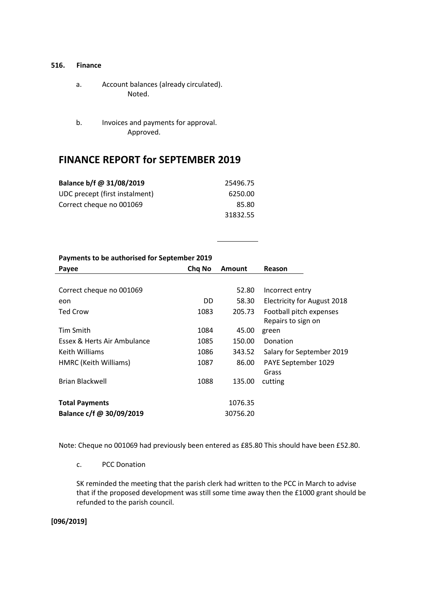#### **516. Finance**

- a. Account balances (already circulated). Noted.
- b. Invoices and payments for approval. Approved.

## **FINANCE REPORT for SEPTEMBER 2019**

| Balance b/f @ 31/08/2019       | 25496.75 |
|--------------------------------|----------|
| UDC precept (first instalment) | 6250.00  |
| Correct cheque no 001069       | 85.80    |
|                                | 31832.55 |

#### **Payments to be authorised for September 2019**

| Payee                       | Chg No | <b>Amount</b> | Reason                             |
|-----------------------------|--------|---------------|------------------------------------|
|                             |        |               |                                    |
| Correct cheque no 001069    |        | 52.80         | Incorrect entry                    |
| eon                         | DD     | 58.30         | <b>Electricity for August 2018</b> |
| Ted Crow                    | 1083   | 205.73        | Football pitch expenses            |
|                             |        |               | Repairs to sign on                 |
| <b>Tim Smith</b>            | 1084   | 45.00         | green                              |
| Essex & Herts Air Ambulance | 1085   | 150.00        | Donation                           |
| Keith Williams              | 1086   | 343.52        | Salary for September 2019          |
| HMRC (Keith Williams)       | 1087   | 86.00         | PAYE September 1029                |
|                             |        |               | Grass                              |
| <b>Brian Blackwell</b>      | 1088   | 135.00        | cutting                            |
|                             |        |               |                                    |
| <b>Total Payments</b>       |        | 1076.35       |                                    |
| Balance c/f @ 30/09/2019    |        | 30756.20      |                                    |
|                             |        |               |                                    |

Note: Cheque no 001069 had previously been entered as £85.80 This should have been £52.80.

c. PCC Donation

SK reminded the meeting that the parish clerk had written to the PCC in March to advise that if the proposed development was still some time away then the £1000 grant should be refunded to the parish council.

**[096/2019]**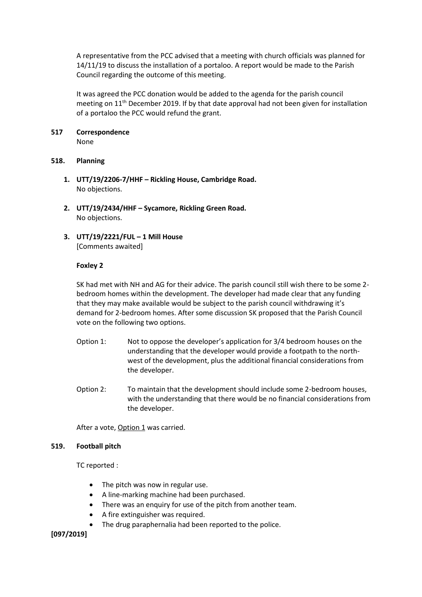A representative from the PCC advised that a meeting with church officials was planned for 14/11/19 to discuss the installation of a portaloo. A report would be made to the Parish Council regarding the outcome of this meeting.

It was agreed the PCC donation would be added to the agenda for the parish council meeting on  $11<sup>th</sup>$  December 2019. If by that date approval had not been given for installation of a portaloo the PCC would refund the grant.

# **517 Correspondence**

None

## **518. Planning**

- **1. UTT/19/2206-7/HHF – Rickling House, Cambridge Road.** No objections.
- **2. UTT/19/2434/HHF – Sycamore, Rickling Green Road.** No objections.
- **3. UTT/19/2221/FUL – 1 Mill House** [Comments awaited]

## **Foxley 2**

SK had met with NH and AG for their advice. The parish council still wish there to be some 2 bedroom homes within the development. The developer had made clear that any funding that they may make available would be subject to the parish council withdrawing it's demand for 2-bedroom homes. After some discussion SK proposed that the Parish Council vote on the following two options.

- Option 1: Not to oppose the developer's application for 3/4 bedroom houses on the understanding that the developer would provide a footpath to the northwest of the development, plus the additional financial considerations from the developer.
- Option 2: To maintain that the development should include some 2-bedroom houses, with the understanding that there would be no financial considerations from the developer.

After a vote, Option 1 was carried.

## **519. Football pitch**

TC reported :

- The pitch was now in regular use.
- A line-marking machine had been purchased.
- There was an enquiry for use of the pitch from another team.
- A fire extinguisher was required.
- The drug paraphernalia had been reported to the police.

**[097/2019]**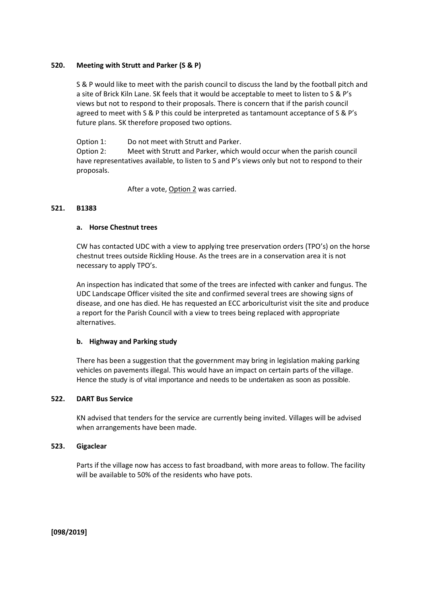#### **520. Meeting with Strutt and Parker (S & P)**

S & P would like to meet with the parish council to discuss the land by the football pitch and a site of Brick Kiln Lane. SK feels that it would be acceptable to meet to listen to S & P's views but not to respond to their proposals. There is concern that if the parish council agreed to meet with S & P this could be interpreted as tantamount acceptance of S & P's future plans. SK therefore proposed two options.

Option 1: Do not meet with Strutt and Parker. Option 2: Meet with Strutt and Parker, which would occur when the parish council have representatives available, to listen to S and P's views only but not to respond to their proposals.

After a vote, Option 2 was carried.

#### **521. B1383**

#### **a. Horse Chestnut trees**

CW has contacted UDC with a view to applying tree preservation orders (TPO's) on the horse chestnut trees outside Rickling House. As the trees are in a conservation area it is not necessary to apply TPO's.

An inspection has indicated that some of the trees are infected with canker and fungus. The UDC Landscape Officer visited the site and confirmed several trees are showing signs of disease, and one has died. He has requested an ECC arboriculturist visit the site and produce a report for the Parish Council with a view to trees being replaced with appropriate alternatives.

#### **b. Highway and Parking study**

There has been a suggestion that the government may bring in legislation making parking vehicles on pavements illegal. This would have an impact on certain parts of the village. Hence the study is of vital importance and needs to be undertaken as soon as possible.

#### **522. DART Bus Service**

KN advised that tenders for the service are currently being invited. Villages will be advised when arrangements have been made.

#### **523. Gigaclear**

Parts if the village now has access to fast broadband, with more areas to follow. The facility will be available to 50% of the residents who have pots.

**[098/2019]**